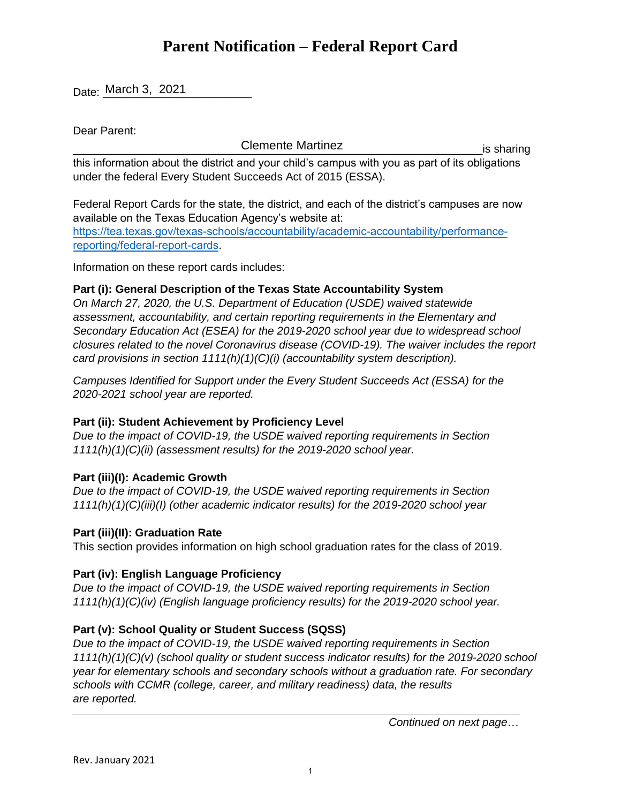# **Parent Notification – Federal Report Card**

Date: <u>March 3, 2021</u>

Dear Parent:

\_\_\_\_\_\_\_\_\_\_\_\_\_\_\_\_\_\_\_\_\_\_\_\_\_\_\_\_\_\_\_\_\_\_\_\_\_\_\_\_\_\_\_\_\_\_\_\_\_\_\_\_\_\_\_\_\_\_\_\_\_\_\_\_\_\_is sharing Clemente Martinez

this information about the district and your child's campus with you as part of its obligations under the federal Every Student Succeeds Act of 2015 (ESSA).

Federal Report Cards for the state, the district, and each of the district's campuses are now available on the Texas Education Agency's website at: [https://tea.texas.gov/texas-schools/accountability/academic-accountability/performance](https://tea.texas.gov/texas-schools/accountability/academic-accountability/performance-reporting/federal-report-cards)reporting/federal-report-cards.

Information on these report cards includes:

## **Part (i): General Description of the Texas State Accountability System**

*On March 27, 2020, the U.S. Department of Education (USDE) waived statewide assessment, accountability, and certain reporting requirements in the Elementary and Secondary Education Act (ESEA) for the 2019-2020 school year due to widespread school closures related to the novel Coronavirus disease (COVID-19). The waiver includes the report card provisions in section 1111(h)(1)(C)(i) (accountability system description).* 

*Campuses Identified for Support under the Every Student Succeeds Act (ESSA) for the 2020-2021 school year are reported.* 

# **Part (ii): Student Achievement by Proficiency Level**

*Due to the impact of COVID-19, the USDE waived reporting requirements in Section 1111(h)(1)(C)(ii) (assessment results) for the 2019-2020 school year.* 

### **Part (iii)(I): Academic Growth**

*Due to the impact of COVID-19, the USDE waived reporting requirements in Section 1111(h)(1)(C)(iii)(I) (other academic indicator results) for the 2019-2020 school year* 

### **Part (iii)(II): Graduation Rate**

This section provides information on high school graduation rates for the class of 2019.

### **Part (iv): English Language Proficiency**

*Due to the impact of COVID-19, the USDE waived reporting requirements in Section 1111(h)(1)(C)(iv) (English language proficiency results) for the 2019-2020 school year.* 

# **Part (v): School Quality or Student Success (SQSS)**

*Due to the impact of COVID-19, the USDE waived reporting requirements in Section 1111(h)(1)(C)(v) (school quality or student success indicator results) for the 2019-2020 school year for elementary schools and secondary schools without a graduation rate. For secondary schools with CCMR (college, career, and military readiness) data, the results are reported.* 

*Continued on next page…*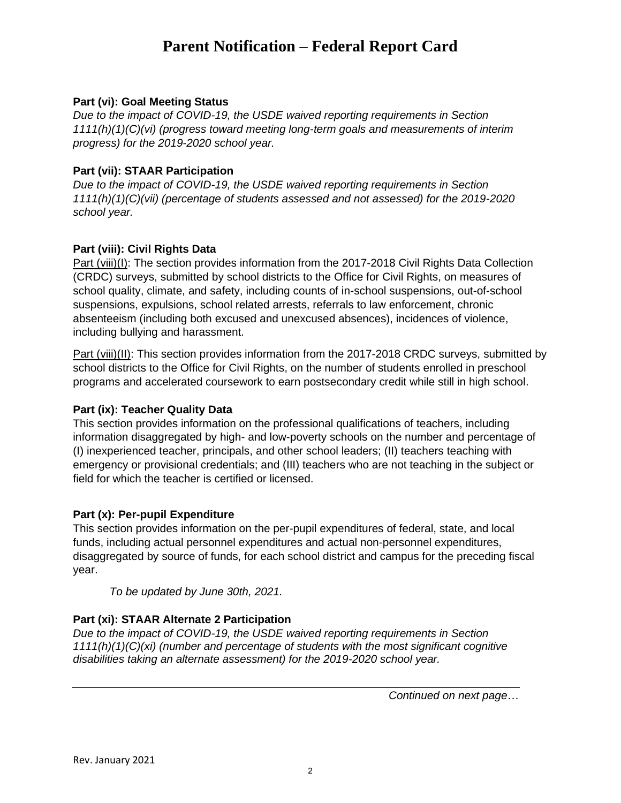# **Parent Notification – Federal Report Card**

#### **Part (vi): Goal Meeting Status**

*Due to the impact of COVID-19, the USDE waived reporting requirements in Section 1111(h)(1)(C)(vi) (progress toward meeting long-term goals and measurements of interim progress) for the 2019-2020 school year.*

#### **Part (vii): STAAR Participation**

*Due to the impact of COVID-19, the USDE waived reporting requirements in Section 1111(h)(1)(C)(vii) (percentage of students assessed and not assessed) for the 2019-2020 school year.*

#### **Part (viii): Civil Rights Data**

Part (viii)(I): The section provides information from the 2017-2018 Civil Rights Data Collection (CRDC) surveys, submitted by school districts to the Office for Civil Rights, on measures of school quality, climate, and safety, including counts of in-school suspensions, out-of-school suspensions, expulsions, school related arrests, referrals to law enforcement, chronic absenteeism (including both excused and unexcused absences), incidences of violence, including bullying and harassment.

Part (viii)(II): This section provides information from the 2017-2018 CRDC surveys, submitted by school districts to the Office for Civil Rights, on the number of students enrolled in preschool programs and accelerated coursework to earn postsecondary credit while still in high school.

#### **Part (ix): Teacher Quality Data**

This section provides information on the professional qualifications of teachers, including information disaggregated by high- and low-poverty schools on the number and percentage of (I) inexperienced teacher, principals, and other school leaders; (II) teachers teaching with emergency or provisional credentials; and (III) teachers who are not teaching in the subject or field for which the teacher is certified or licensed.

#### **Part (x): Per-pupil Expenditure**

This section provides information on the per-pupil expenditures of federal, state, and local funds, including actual personnel expenditures and actual non-personnel expenditures, disaggregated by source of funds, for each school district and campus for the preceding fiscal year.

*To be updated by June 30th, 2021.*

#### **Part (xi): STAAR Alternate 2 Participation**

*Due to the impact of COVID-19, the USDE waived reporting requirements in Section 1111(h)(1)(C)(xi) (number and percentage of students with the most significant cognitive disabilities taking an alternate assessment) for the 2019-2020 school year.*

*Continued on next page…*